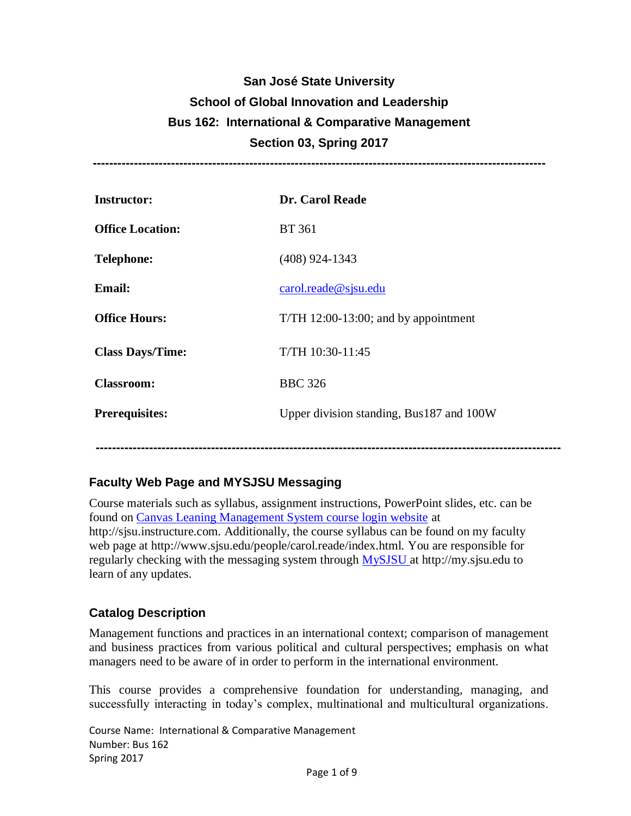# **San José State University School of Global Innovation and Leadership Bus 162: International & Comparative Management Section 03, Spring 2017**

**--------------------------------------------------------------------------------------------------------------**

| <b>Instructor:</b>      | Dr. Carol Reade                          |
|-------------------------|------------------------------------------|
| <b>Office Location:</b> | <b>BT</b> 361                            |
| <b>Telephone:</b>       | $(408)$ 924-1343                         |
| <b>Email:</b>           | card. reade@sigma.edu                    |
| <b>Office Hours:</b>    | $T/TH$ 12:00-13:00; and by appointment   |
| <b>Class Days/Time:</b> | T/TH 10:30-11:45                         |
| <b>Classroom:</b>       | <b>BBC</b> 326                           |
| <b>Prerequisites:</b>   | Upper division standing, Bus187 and 100W |
|                         |                                          |

## **Faculty Web Page and MYSJSU Messaging**

Course materials such as syllabus, assignment instructions, PowerPoint slides, etc. can be found on [Canvas Leaning Management System course login website](http://sjsu.instructure.com/) at http://sjsu.instructure.com. Additionally, the course syllabus can be found on my faculty web page at http://www.sjsu.edu/people/carol.reade/index.html. You are responsible for regularly checking with the messaging system through [MySJSU a](http://my.sjsu.edu/)t http://my.sjsu.edu to learn of any updates.

**-----------------------------------------------------------------------------------------------------------------**

## **Catalog Description**

Management functions and practices in an international context; comparison of management and business practices from various political and cultural perspectives; emphasis on what managers need to be aware of in order to perform in the international environment.

This course provides a comprehensive foundation for understanding, managing, and successfully interacting in today's complex, multinational and multicultural organizations.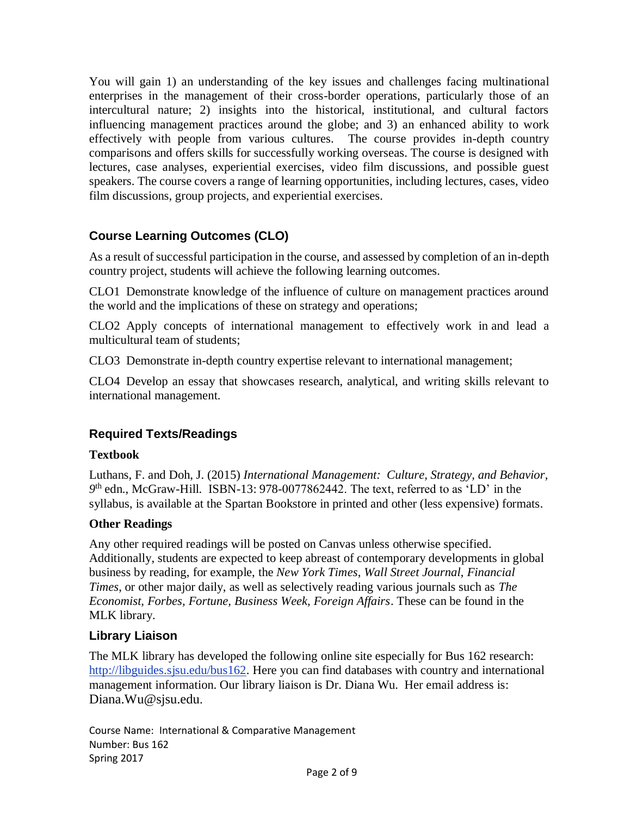You will gain 1) an understanding of the key issues and challenges facing multinational enterprises in the management of their cross-border operations, particularly those of an intercultural nature; 2) insights into the historical, institutional, and cultural factors influencing management practices around the globe; and 3) an enhanced ability to work effectively with people from various cultures. The course provides in-depth country comparisons and offers skills for successfully working overseas. The course is designed with lectures, case analyses, experiential exercises, video film discussions, and possible guest speakers. The course covers a range of learning opportunities, including lectures, cases, video film discussions, group projects, and experiential exercises.

# **Course Learning Outcomes (CLO)**

As a result of successful participation in the course, and assessed by completion of an in-depth country project, students will achieve the following learning outcomes.

CLO1 Demonstrate knowledge of the influence of culture on management practices around the world and the implications of these on strategy and operations;

CLO2 Apply concepts of international management to effectively work in and lead a multicultural team of students;

CLO3 Demonstrate in-depth country expertise relevant to international management;

CLO4 Develop an essay that showcases research, analytical, and writing skills relevant to international management.

# **Required Texts/Readings**

## **Textbook**

Luthans, F. and Doh, J. (2015) *International Management: Culture, Strategy, and Behavior, 9* th edn., McGraw-Hill. ISBN-13: 978-0077862442. The text, referred to as 'LD' in the syllabus, is available at the Spartan Bookstore in printed and other (less expensive) formats.

## **Other Readings**

Any other required readings will be posted on Canvas unless otherwise specified. Additionally, students are expected to keep abreast of contemporary developments in global business by reading, for example, the *New York Times*, *Wall Street Journal*, *Financial Times*, or other major daily, as well as selectively reading various journals such as *The Economist, Forbes, Fortune, Business Week, Foreign Affairs*. These can be found in the MLK library.

## **Library Liaison**

The MLK library has developed the following online site especially for Bus 162 research: [http://libguides.sjsu.edu/bus162.](http://libguides.sjsu.edu/bus162) Here you can find databases with country and international management information. Our library liaison is Dr. Diana Wu. Her email address is: Diana.Wu@sjsu.edu.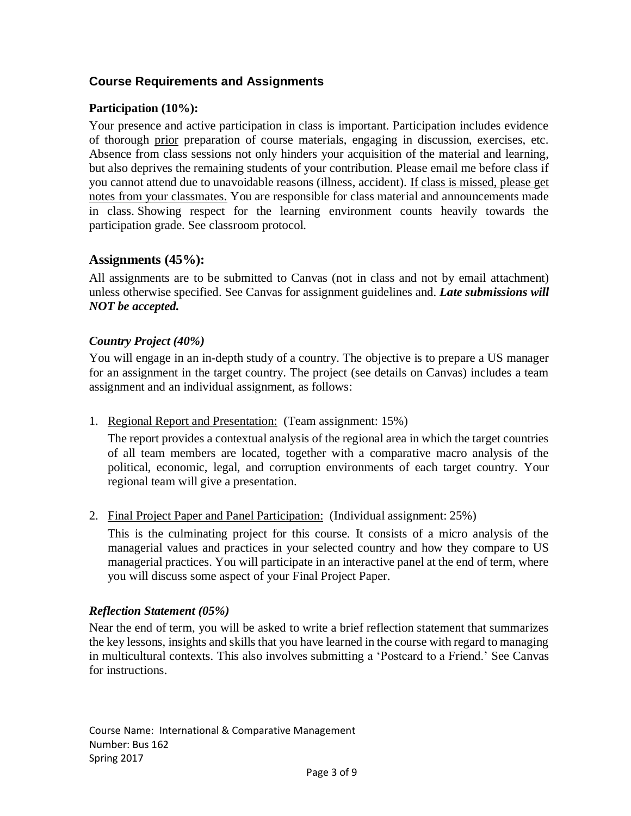## **Course Requirements and Assignments**

#### **Participation (10%):**

Your presence and active participation in class is important. Participation includes evidence of thorough prior preparation of course materials, engaging in discussion, exercises, etc. Absence from class sessions not only hinders your acquisition of the material and learning, but also deprives the remaining students of your contribution. Please email me before class if you cannot attend due to unavoidable reasons (illness, accident). If class is missed, please get notes from your classmates. You are responsible for class material and announcements made in class. Showing respect for the learning environment counts heavily towards the participation grade. See classroom protocol.

## **Assignments (45%):**

All assignments are to be submitted to Canvas (not in class and not by email attachment) unless otherwise specified. See Canvas for assignment guidelines and. *Late submissions will NOT be accepted.*

#### *Country Project (40%)*

You will engage in an in-depth study of a country. The objective is to prepare a US manager for an assignment in the target country. The project (see details on Canvas) includes a team assignment and an individual assignment, as follows:

1. Regional Report and Presentation: (Team assignment: 15%)

The report provides a contextual analysis of the regional area in which the target countries of all team members are located, together with a comparative macro analysis of the political, economic, legal, and corruption environments of each target country. Your regional team will give a presentation.

2. Final Project Paper and Panel Participation: (Individual assignment: 25%)

This is the culminating project for this course. It consists of a micro analysis of the managerial values and practices in your selected country and how they compare to US managerial practices. You will participate in an interactive panel at the end of term, where you will discuss some aspect of your Final Project Paper.

#### *Reflection Statement (05%)*

Near the end of term, you will be asked to write a brief reflection statement that summarizes the key lessons, insights and skills that you have learned in the course with regard to managing in multicultural contexts. This also involves submitting a 'Postcard to a Friend.' See Canvas for instructions.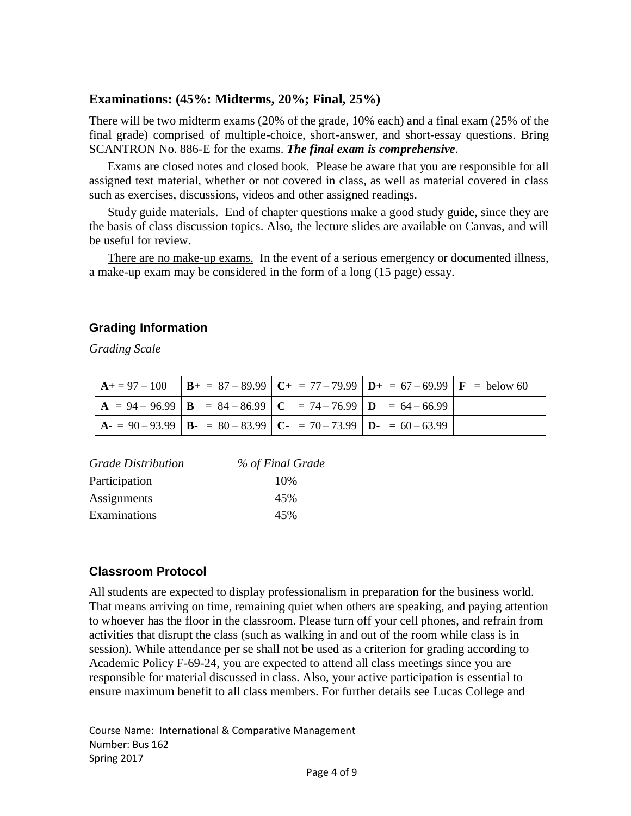## **Examinations: (45%: Midterms, 20%; Final, 25%)**

There will be two midterm exams (20% of the grade, 10% each) and a final exam (25% of the final grade) comprised of multiple-choice, short-answer, and short-essay questions. Bring SCANTRON No. 886-E for the exams. *The final exam is comprehensive*.

Exams are closed notes and closed book. Please be aware that you are responsible for all assigned text material, whether or not covered in class, as well as material covered in class such as exercises, discussions, videos and other assigned readings.

Study guide materials. End of chapter questions make a good study guide, since they are the basis of class discussion topics. Also, the lecture slides are available on Canvas, and will be useful for review.

There are no make-up exams. In the event of a serious emergency or documented illness, a make-up exam may be considered in the form of a long (15 page) essay.

#### **Grading Information**

*Grading Scale*

|  |                                                                     | $\mathbf{A} + 97 - 100$ $\mathbf{B} + 87 - 89.99$ $\mathbf{C} + 77 - 79.99$ $\mathbf{D} + 67 - 69.99$ $\mathbf{F} = \text{below } 60$ |  |
|--|---------------------------------------------------------------------|---------------------------------------------------------------------------------------------------------------------------------------|--|
|  | $A = 94 - 96.99$ $B = 84 - 86.99$ $C = 74 - 76.99$ $D = 64 - 66.99$ |                                                                                                                                       |  |
|  | $A = 90 - 93.99$ $B = 80 - 83.99$ $C = 70 - 73.99$ $D = 60 - 63.99$ |                                                                                                                                       |  |

| <b>Grade Distribution</b> | % of Final Grade |
|---------------------------|------------------|
| Participation             | 10%              |
| Assignments               | 45%              |
| Examinations              | 45%              |

## **Classroom Protocol**

All students are expected to display professionalism in preparation for the business world. That means arriving on time, remaining quiet when others are speaking, and paying attention to whoever has the floor in the classroom. Please turn off your cell phones, and refrain from activities that disrupt the class (such as walking in and out of the room while class is in session). While attendance per se shall not be used as a criterion for grading according to Academic Policy F-69-24, you are expected to attend all class meetings since you are responsible for material discussed in class. Also, your active participation is essential to ensure maximum benefit to all class members. For further details see Lucas College and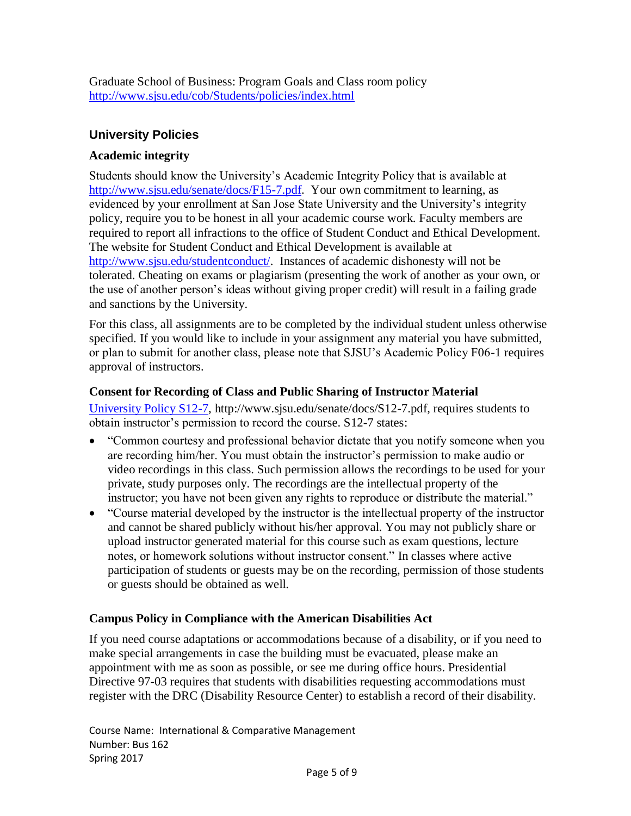Graduate School of Business: Program Goals and Class room policy <http://www.sjsu.edu/cob/Students/policies/index.html>

## **University Policies**

#### **Academic integrity**

Students should know the University's Academic Integrity Policy that is available at [http://www.sjsu.edu/senate/docs/F15-7.pdf.](http://www.sjsu.edu/senate/docs/F15-7.pdf) Your own commitment to learning, as evidenced by your enrollment at San Jose State University and the University's integrity policy, require you to be honest in all your academic course work. Faculty members are required to report all infractions to the office of Student Conduct and Ethical Development. The website for Student Conduct and Ethical Development is available at [http://www.sjsu.edu/studentconduct/.](http://www.sjsu.edu/studentconduct/) Instances of academic dishonesty will not be tolerated. Cheating on exams or plagiarism (presenting the work of another as your own, or the use of another person's ideas without giving proper credit) will result in a failing grade and sanctions by the University.

For this class, all assignments are to be completed by the individual student unless otherwise specified. If you would like to include in your assignment any material you have submitted, or plan to submit for another class, please note that SJSU's Academic Policy F06-1 requires approval of instructors.

#### **Consent for Recording of Class and Public Sharing of Instructor Material**

[University Policy S12-7,](http://www.sjsu.edu/senate/docs/S12-7.pdf) http://www.sjsu.edu/senate/docs/S12-7.pdf, requires students to obtain instructor's permission to record the course. S12-7 states:

- "Common courtesy and professional behavior dictate that you notify someone when you are recording him/her. You must obtain the instructor's permission to make audio or video recordings in this class. Such permission allows the recordings to be used for your private, study purposes only. The recordings are the intellectual property of the instructor; you have not been given any rights to reproduce or distribute the material."
- "Course material developed by the instructor is the intellectual property of the instructor and cannot be shared publicly without his/her approval. You may not publicly share or upload instructor generated material for this course such as exam questions, lecture notes, or homework solutions without instructor consent." In classes where active participation of students or guests may be on the recording, permission of those students or guests should be obtained as well.

## **Campus Policy in Compliance with the American Disabilities Act**

If you need course adaptations or accommodations because of a disability, or if you need to make special arrangements in case the building must be evacuated, please make an appointment with me as soon as possible, or see me during office hours. Presidential Directive 97-03 requires that students with disabilities requesting accommodations must register with the DRC (Disability Resource Center) to establish a record of their disability.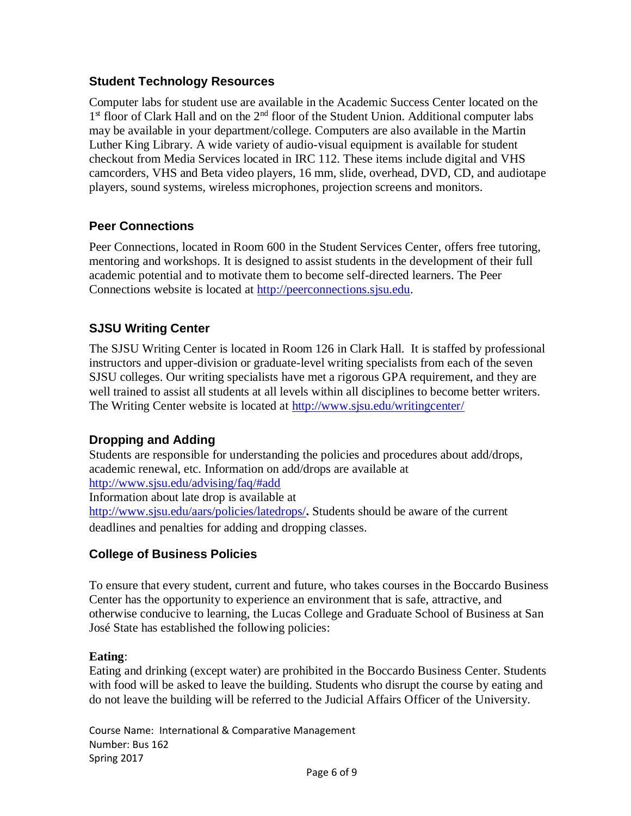## **Student Technology Resources**

Computer labs for student use are available in the Academic Success Center located on the 1<sup>st</sup> floor of Clark Hall and on the 2<sup>nd</sup> floor of the Student Union. Additional computer labs may be available in your department/college. Computers are also available in the Martin Luther King Library. A wide variety of audio-visual equipment is available for student checkout from Media Services located in IRC 112. These items include digital and VHS camcorders, VHS and Beta video players, 16 mm, slide, overhead, DVD, CD, and audiotape players, sound systems, wireless microphones, projection screens and monitors.

# **Peer Connections**

Peer Connections, located in Room 600 in the Student Services Center, offers free tutoring, mentoring and workshops. It is designed to assist students in the development of their full academic potential and to motivate them to become self-directed learners. The Peer Connections website is located at [http://peerconnections.sjsu.edu.](http://peerconnections.sjsu.edu/)

# **SJSU Writing Center**

The SJSU Writing Center is located in Room 126 in Clark Hall. It is staffed by professional instructors and upper-division or graduate-level writing specialists from each of the seven SJSU colleges. Our writing specialists have met a rigorous GPA requirement, and they are well trained to assist all students at all levels within all disciplines to become better writers. The Writing Center website is located at<http://www.sjsu.edu/writingcenter/>

# **Dropping and Adding**

Students are responsible for understanding the policies and procedures about add/drops, academic renewal, etc. Information on add/drops are available at http://www.sjsu.edu/advising/faq/#add Information about late drop is available at http://www.sjsu.edu/aars/policies/latedrops/**.** Students should be aware of the current deadlines and penalties for adding and dropping classes.

# **College of Business Policies**

To ensure that every student, current and future, who takes courses in the Boccardo Business Center has the opportunity to experience an environment that is safe, attractive, and otherwise conducive to learning, the Lucas College and Graduate School of Business at San José State has established the following policies:

#### **Eating**:

Eating and drinking (except water) are prohibited in the Boccardo Business Center. Students with food will be asked to leave the building. Students who disrupt the course by eating and do not leave the building will be referred to the Judicial Affairs Officer of the University.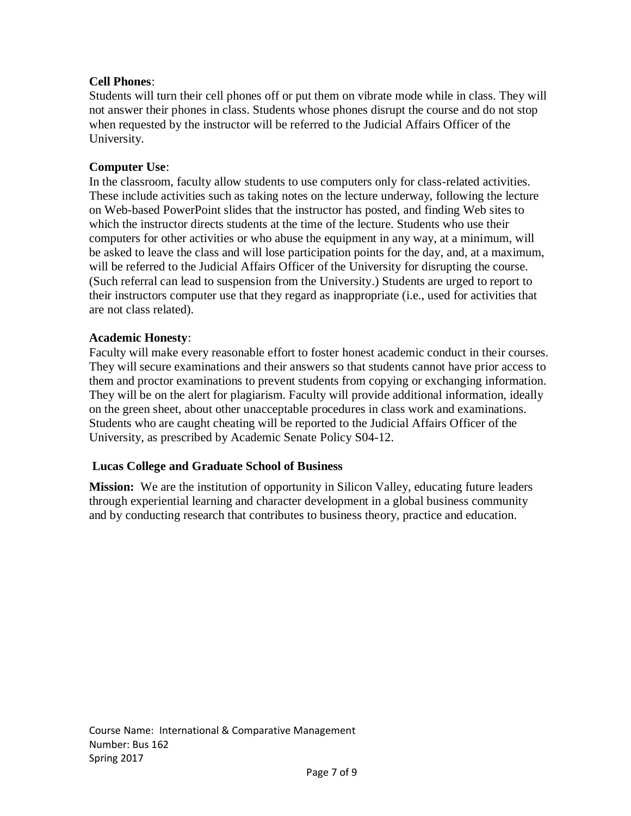#### **Cell Phones**:

Students will turn their cell phones off or put them on vibrate mode while in class. They will not answer their phones in class. Students whose phones disrupt the course and do not stop when requested by the instructor will be referred to the Judicial Affairs Officer of the University.

#### **Computer Use**:

In the classroom, faculty allow students to use computers only for class-related activities. These include activities such as taking notes on the lecture underway, following the lecture on Web-based PowerPoint slides that the instructor has posted, and finding Web sites to which the instructor directs students at the time of the lecture. Students who use their computers for other activities or who abuse the equipment in any way, at a minimum, will be asked to leave the class and will lose participation points for the day, and, at a maximum, will be referred to the Judicial Affairs Officer of the University for disrupting the course. (Such referral can lead to suspension from the University.) Students are urged to report to their instructors computer use that they regard as inappropriate (i.e., used for activities that are not class related).

#### **Academic Honesty**:

Faculty will make every reasonable effort to foster honest academic conduct in their courses. They will secure examinations and their answers so that students cannot have prior access to them and proctor examinations to prevent students from copying or exchanging information. They will be on the alert for plagiarism. Faculty will provide additional information, ideally on the green sheet, about other unacceptable procedures in class work and examinations. Students who are caught cheating will be reported to the Judicial Affairs Officer of the University, as prescribed by Academic Senate Policy S04-12.

#### **Lucas College and Graduate School of Business**

**Mission:** We are the institution of opportunity in Silicon Valley, educating future leaders through experiential learning and character development in a global business community and by conducting research that contributes to business theory, practice and education.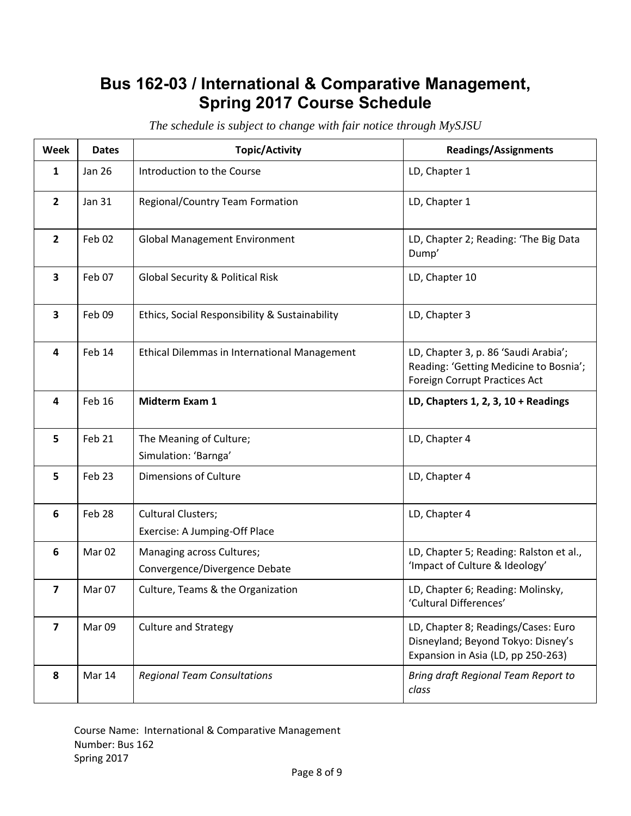# **Bus 162-03 / International & Comparative Management, Spring 2017 Course Schedule**

| Week                    | <b>Dates</b>      | <b>Topic/Activity</b>                                      | <b>Readings/Assignments</b>                                                                                     |
|-------------------------|-------------------|------------------------------------------------------------|-----------------------------------------------------------------------------------------------------------------|
| 1                       | Jan 26            | Introduction to the Course                                 | LD, Chapter 1                                                                                                   |
| $\overline{2}$          | <b>Jan 31</b>     | Regional/Country Team Formation                            | LD, Chapter 1                                                                                                   |
| $\overline{2}$          | Feb 02            | <b>Global Management Environment</b>                       | LD, Chapter 2; Reading: 'The Big Data<br>Dump'                                                                  |
| 3                       | Feb 07            | <b>Global Security &amp; Political Risk</b>                | LD, Chapter 10                                                                                                  |
| 3                       | Feb 09            | Ethics, Social Responsibility & Sustainability             | LD, Chapter 3                                                                                                   |
| 4                       | Feb 14            | Ethical Dilemmas in International Management               | LD, Chapter 3, p. 86 'Saudi Arabia';<br>Reading: 'Getting Medicine to Bosnia';<br>Foreign Corrupt Practices Act |
| 4                       | Feb 16            | Midterm Exam 1                                             | LD, Chapters 1, 2, 3, $10 +$ Readings                                                                           |
| 5                       | Feb 21            | The Meaning of Culture;<br>Simulation: 'Barnga'            | LD, Chapter 4                                                                                                   |
| 5                       | Feb 23            | Dimensions of Culture                                      | LD, Chapter 4                                                                                                   |
| $6\phantom{1}$          | Feb 28            | <b>Cultural Clusters;</b><br>Exercise: A Jumping-Off Place | LD, Chapter 4                                                                                                   |
| 6                       | Mar <sub>02</sub> | Managing across Cultures;<br>Convergence/Divergence Debate | LD, Chapter 5; Reading: Ralston et al.,<br>'Impact of Culture & Ideology'                                       |
| $\overline{\mathbf{z}}$ | Mar 07            | Culture, Teams & the Organization                          | LD, Chapter 6; Reading: Molinsky,<br>'Cultural Differences'                                                     |
| 7                       | Mar <sub>09</sub> | <b>Culture and Strategy</b>                                | LD, Chapter 8; Readings/Cases: Euro<br>Disneyland; Beyond Tokyo: Disney's<br>Expansion in Asia (LD, pp 250-263) |
| 8                       | Mar 14            | <b>Regional Team Consultations</b>                         | Bring draft Regional Team Report to<br>class                                                                    |

*The schedule is subject to change with fair notice through MySJSU*